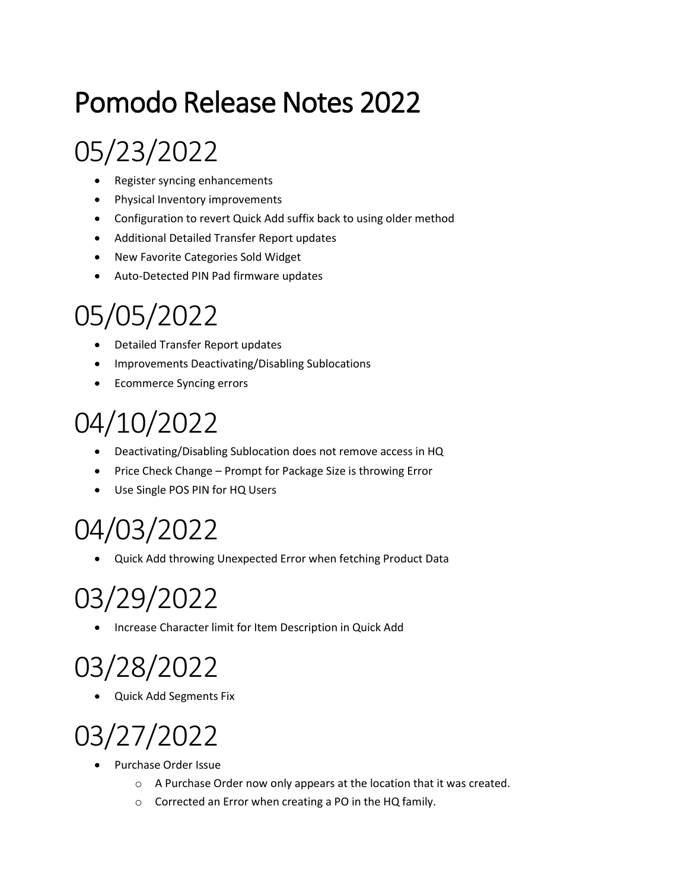# Pomodo Release Notes 2022

# 05/23/2022

- Register syncing enhancements
- Physical Inventory improvements
- Configuration to revert Quick Add suffix back to using older method
- Additional Detailed Transfer Report updates
- New Favorite Categories Sold Widget
- Auto-Detected PIN Pad firmware updates

### 05/05/2022

- Detailed Transfer Report updates
- Improvements Deactivating/Disabling Sublocations
- Ecommerce Syncing errors

### 04/10/2022

- Deactivating/Disabling Sublocation does not remove access in HQ
- Price Check Change Prompt for Package Size is throwing Error
- Use Single POS PIN for HQ Users

### 04/03/2022

• Quick Add throwing Unexpected Error when fetching Product Data

# 03/29/2022

• Increase Character limit for Item Description in Quick Add

# 03/28/2022

• Quick Add Segments Fix

# 03/27/2022

- Purchase Order Issue
	- o A Purchase Order now only appears at the location that it was created.
	- o Corrected an Error when creating a PO in the HQ family.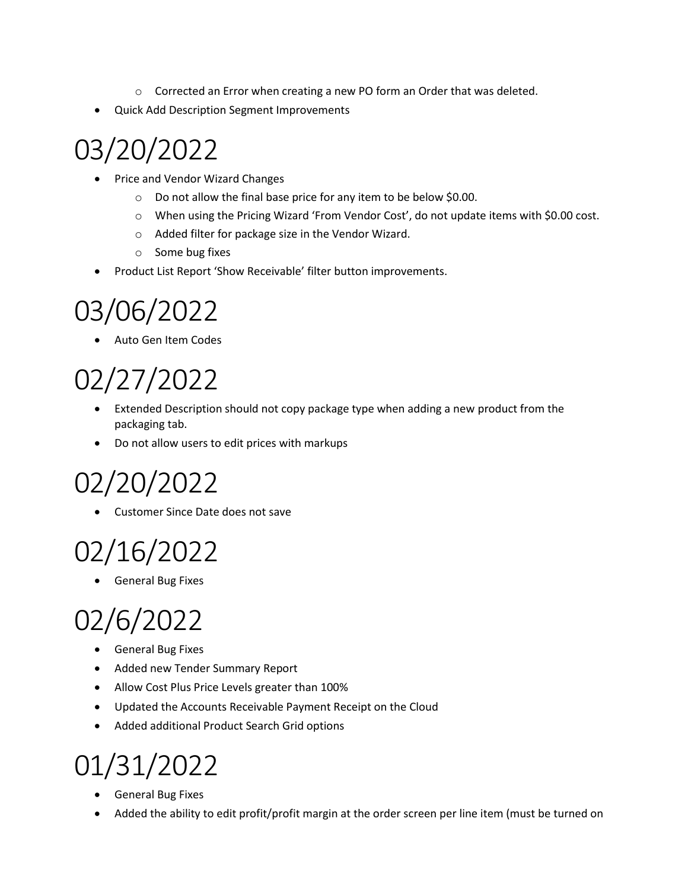- o Corrected an Error when creating a new PO form an Order that was deleted.
- Quick Add Description Segment Improvements

### 03/20/2022

- Price and Vendor Wizard Changes
	- o Do not allow the final base price for any item to be below \$0.00.
	- o When using the Pricing Wizard 'From Vendor Cost', do not update items with \$0.00 cost.
	- o Added filter for package size in the Vendor Wizard.
	- o Some bug fixes
- Product List Report 'Show Receivable' filter button improvements.

#### 03/06/2022

• Auto Gen Item Codes

# 02/27/2022

- Extended Description should not copy package type when adding a new product from the packaging tab.
- Do not allow users to edit prices with markups

# 02/20/2022

• Customer Since Date does not save

#### 02/16/2022

• General Bug Fixes

# 02/6/2022

- General Bug Fixes
- Added new Tender Summary Report
- Allow Cost Plus Price Levels greater than 100%
- Updated the Accounts Receivable Payment Receipt on the Cloud
- Added additional Product Search Grid options

### 01/31/2022

- General Bug Fixes
- Added the ability to edit profit/profit margin at the order screen per line item (must be turned on